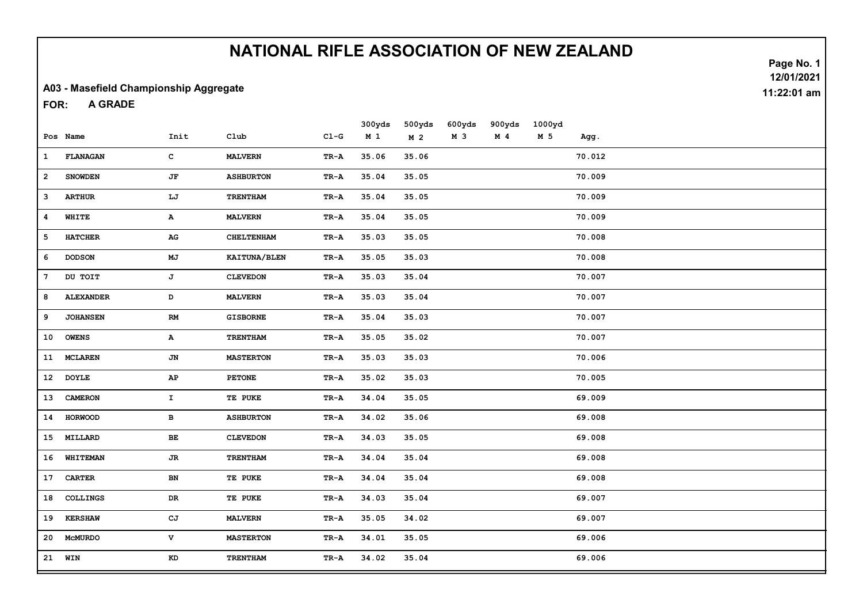#### A03 - Masefield Championship Aggregate

A GRADE FOR:

|                 |                  |                        |                     |                                   | 300yds         | 500yds         | 600yds | 900yds         | 1000yd |        |
|-----------------|------------------|------------------------|---------------------|-----------------------------------|----------------|----------------|--------|----------------|--------|--------|
|                 | Pos Name         | Init                   | Club                | $CL-G$                            | M <sub>1</sub> | M <sub>2</sub> | M 3    | M <sub>4</sub> | M 5    | Agg.   |
| $\mathbf{1}$    | <b>FLANAGAN</b>  | $\mathbf{C}$           | <b>MALVERN</b>      | TR-A                              | 35.06          | 35.06          |        |                |        | 70.012 |
| $\overline{a}$  | <b>SNOWDEN</b>   | JF                     | <b>ASHBURTON</b>    | TR-A                              | 35.04          | 35.05          |        |                |        | 70.009 |
| з               | <b>ARTHUR</b>    | LJ                     | TRENTHAM            | TR-A                              | 35.04          | 35.05          |        |                |        | 70.009 |
| 4               | WHITE            | A                      | <b>MALVERN</b>      | TR-A                              | 35.04          | 35.05          |        |                |        | 70.009 |
| 5               | <b>HATCHER</b>   | AG                     | <b>CHELTENHAM</b>   | $TR - A$                          | 35.03          | 35.05          |        |                |        | 70.008 |
| 6               | <b>DODSON</b>    | $\mathbf{M}\mathbf{J}$ | <b>KAITUNA/BLEN</b> | TR-A                              | 35.05          | 35.03          |        |                |        | 70.008 |
| 7               | DU TOIT          | J                      | <b>CLEVEDON</b>     | TR-A                              | 35.03          | 35.04          |        |                |        | 70.007 |
| 8               | <b>ALEXANDER</b> | D                      | <b>MALVERN</b>      | TR-A                              | 35.03          | 35.04          |        |                |        | 70.007 |
| 9               | <b>JOHANSEN</b>  | RM                     | <b>GISBORNE</b>     | TR-A                              | 35.04          | 35.03          |        |                |        | 70.007 |
| 10              | <b>OWENS</b>     | $\mathbf{A}$           | TRENTHAM            | TR-A                              | 35.05          | 35.02          |        |                |        | 70.007 |
| 11              | <b>MCLAREN</b>   | JN                     | <b>MASTERTON</b>    | TR-A                              | 35.03          | 35.03          |        |                |        | 70.006 |
|                 | 12 DOYLE         | AP                     | <b>PETONE</b>       | TR-A                              | 35.02          | 35.03          |        |                |        | 70.005 |
| 13              | <b>CAMERON</b>   | $\mathbf{T}$           | TE PUKE             | TR-A                              | 34.04          | 35.05          |        |                |        | 69.009 |
|                 | 14 HORWOOD       | в                      | <b>ASHBURTON</b>    | TR-A                              | 34.02          | 35.06          |        |                |        | 69.008 |
| 15              | MILLARD          | $\mathbf{BE}$          | <b>CLEVEDON</b>     | $\texttt{TR-A}$                   | 34.03          | 35.05          |        |                |        | 69.008 |
| 16              | WHITEMAN         | <b>JR</b>              | <b>TRENTHAM</b>     | TR-A                              | 34.04          | 35.04          |        |                |        | 69.008 |
| 17 <sub>1</sub> | CARTER           | BN                     | TE PUKE             | $TR - A$                          | 34.04          | 35.04          |        |                |        | 69.008 |
| 18              | COLLINGS         | DR                     | TE PUKE             | $\texttt{TR-A}$                   | 34.03          | 35.04          |        |                |        | 69.007 |
| 19              | <b>KERSHAW</b>   | cJ                     | <b>MALVERN</b>      | $\mathbf{T}\mathbf{R}-\mathbf{A}$ | 35.05          | 34.02          |        |                |        | 69.007 |
|                 | 20 McMURDO       | V                      | <b>MASTERTON</b>    | TR-A                              | 34.01          | 35.05          |        |                |        | 69.006 |
|                 | 21 WIN           | KD                     | <b>TRENTHAM</b>     | TR-A                              | 34.02          | 35.04          |        |                |        | 69.006 |

Page No. 1 12/01/2021 11:22:01 am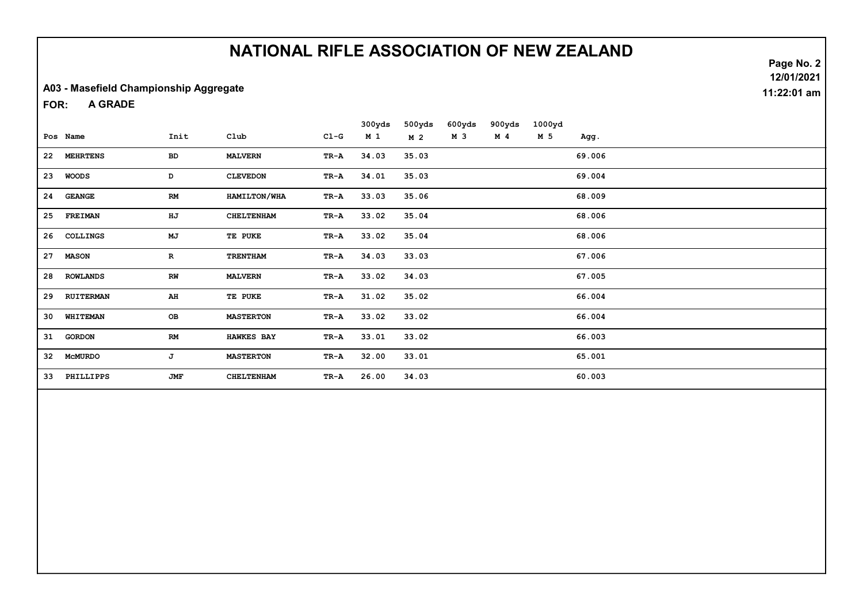#### A03 - Masefield Championship Aggregate

A GRADE FOR:

|    |                |              |                   |        | 300yds         | 500yds | 600yds | 900yds | 1000yd |        |
|----|----------------|--------------|-------------------|--------|----------------|--------|--------|--------|--------|--------|
|    | Pos Name       | Init         | Club              | $C1-G$ | M <sub>1</sub> | M 2    | M 3    | M 4    | M 5    | Agg.   |
|    | 22 MEHRTENS    | BD           | <b>MALVERN</b>    | TR-A   | 34.03          | 35.03  |        |        |        | 69.006 |
|    | 23 WOODS       | D            | <b>CLEVEDON</b>   | TR-A   | 34.01          | 35.03  |        |        |        | 69.004 |
|    | 24 GEANGE      | RM           | HAMILTON/WHA      | TR-A   | 33.03          | 35.06  |        |        |        | 68.009 |
| 25 | <b>FREIMAN</b> | HJ           | <b>CHELTENHAM</b> | TR-A   | 33.02          | 35.04  |        |        |        | 68.006 |
|    | 26 COLLINGS    | MJ           | TE PUKE           | TR-A   | 33.02          | 35.04  |        |        |        | 68.006 |
| 27 | <b>MASON</b>   | $\mathbf{R}$ | <b>TRENTHAM</b>   | TR-A   | 34.03          | 33.03  |        |        |        | 67.006 |
|    | 28 ROWLANDS    | RW           | <b>MALVERN</b>    | TR-A   | 33.02          | 34.03  |        |        |        | 67.005 |
|    | 29 RUITERMAN   | AH           | TE PUKE           | TR-A   | 31.02          | 35.02  |        |        |        | 66.004 |
|    | 30 WHITEMAN    | OВ           | <b>MASTERTON</b>  | TR-A   | 33.02          | 33.02  |        |        |        | 66.004 |
|    | 31 GORDON      | RM           | <b>HAWKES BAY</b> | TR-A   | 33.01          | 33.02  |        |        |        | 66.003 |
| 32 | MCMURDO        | J            | <b>MASTERTON</b>  | TR-A   | 32.00          | 33.01  |        |        |        | 65.001 |
| 33 | PHILLIPPS      | JMF          | <b>CHELTENHAM</b> | TR-A   | 26.00          | 34.03  |        |        |        | 60.003 |

Page No. 2 12/01/2021 11:22:01 am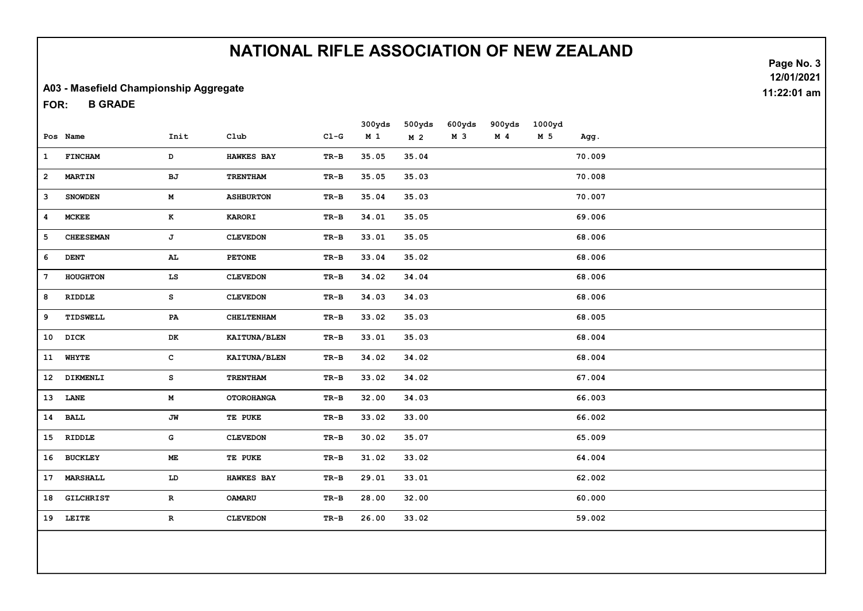Page No. 3

12/01/2021

11:22:01 am

#### A03 - Masefield Championship Aggregate

B GRADE FOR:

|              | Pos Name         | Init          | C1ub              | $C1-G$ | 300yds<br>M <sub>1</sub> | 500yds<br>M <sub>2</sub> | 600yds<br>M <sub>3</sub> | 900yds<br>$M$ 4 | 1000yd<br>M 5 | Agg.   |
|--------------|------------------|---------------|-------------------|--------|--------------------------|--------------------------|--------------------------|-----------------|---------------|--------|
|              |                  |               |                   |        |                          |                          |                          |                 |               |        |
| $\mathbf{1}$ | <b>FINCHAM</b>   | D             | <b>HAWKES BAY</b> | $TR-B$ | 35.05                    | 35.04                    |                          |                 |               | 70.009 |
| $\mathbf{2}$ | <b>MARTIN</b>    | BJ            | TRENTHAM          | $TR-B$ | 35.05                    | 35.03                    |                          |                 |               | 70.008 |
| 3            | <b>SNOWDEN</b>   | M             | <b>ASHBURTON</b>  | $TR-B$ | 35.04                    | 35.03                    |                          |                 |               | 70.007 |
| 4            | <b>MCKEE</b>     | $\bf K$       | <b>KARORI</b>     | $TR-B$ | 34.01                    | 35.05                    |                          |                 |               | 69.006 |
| 5            | <b>CHEESEMAN</b> | $\mathbf{J}$  | <b>CLEVEDON</b>   | TR-B   | 33.01                    | 35.05                    |                          |                 |               | 68.006 |
| 6            | <b>DENT</b>      | AL            | <b>PETONE</b>     | $TR-B$ | 33.04                    | 35.02                    |                          |                 |               | 68.006 |
| 7            | HOUGHTON         | LS            | <b>CLEVEDON</b>   | TR-B   | 34.02                    | 34.04                    |                          |                 |               | 68.006 |
| 8            | RIDDLE           | s             | <b>CLEVEDON</b>   | TR-B   | 34.03                    | 34.03                    |                          |                 |               | 68.006 |
| 9            | TIDSWELL         | PA            | <b>CHELTENHAM</b> | $TR-B$ | 33.02                    | 35.03                    |                          |                 |               | 68.005 |
|              | 10 DICK          | DK            | KAITUNA/BLEN      | TR-B   | 33.01                    | 35.03                    |                          |                 |               | 68.004 |
|              | 11 WHYTE         | $\mathbf{C}$  | KAITUNA/BLEN      | TR-B   | 34.02                    | 34.02                    |                          |                 |               | 68.004 |
|              | 12 DIKMENLI      | $\mathbf{s}$  | TRENTHAM          | TR-B   | 33.02                    | 34.02                    |                          |                 |               | 67.004 |
|              | 13 LANE          | M             | <b>OTOROHANGA</b> | $TR-B$ | 32.00                    | 34.03                    |                          |                 |               | 66.003 |
|              | 14 BALL          | JW            | TE PUKE           | $TR-B$ | 33.02                    | 33.00                    |                          |                 |               | 66.002 |
|              | 15 RIDDLE        | G             | <b>CLEVEDON</b>   | $TR-B$ | 30.02                    | 35.07                    |                          |                 |               | 65.009 |
|              | 16 BUCKLEY       | $\mathbf{ME}$ | TE PUKE           | $TR-B$ | 31.02                    | 33.02                    |                          |                 |               | 64.004 |
| 17           | MARSHALL         | LD            | <b>HAWKES BAY</b> | TR-B   | 29.01                    | 33.01                    |                          |                 |               | 62.002 |
| 18           | <b>GILCHRIST</b> | $\mathbf R$   | <b>OAMARU</b>     | $TR-B$ | 28.00                    | 32.00                    |                          |                 |               | 60.000 |
|              | 19 LEITE         | $\mathbf{R}$  | <b>CLEVEDON</b>   | TR-B   | 26.00                    | 33.02                    |                          |                 |               | 59.002 |
|              |                  |               |                   |        |                          |                          |                          |                 |               |        |
|              |                  |               |                   |        |                          |                          |                          |                 |               |        |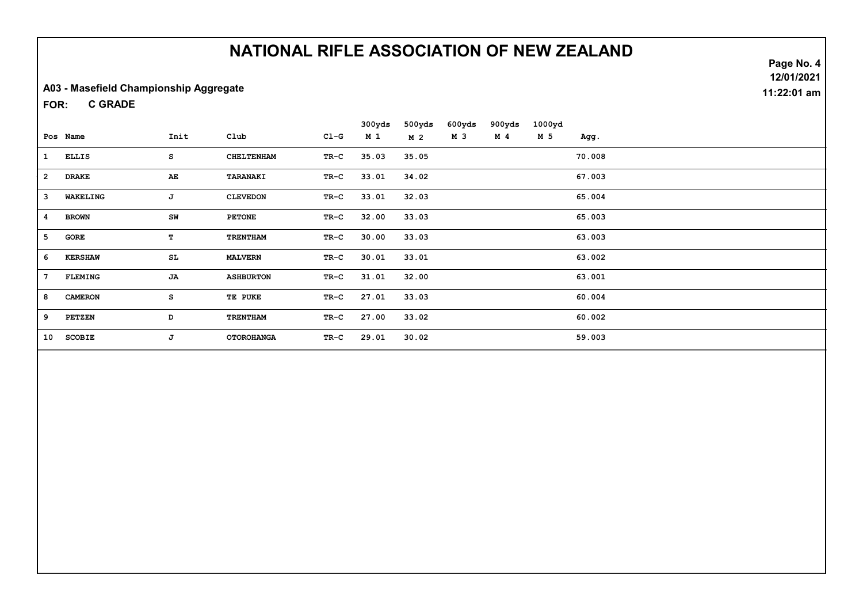#### A03 - Masefield Championship Aggregate

C GRADE FOR:

|                |                |      |                   |        | 300yds | 500yds         | 600yds | 900yds | 1000yd |        |
|----------------|----------------|------|-------------------|--------|--------|----------------|--------|--------|--------|--------|
|                | Pos Name       | Init | $_{\text{Club}}$  | $C1-G$ | M 1    | M <sub>2</sub> | M 3    | M 4    | M 5    | Agg.   |
| $\mathbf{1}$   | <b>ELLIS</b>   | s    | <b>CHELTENHAM</b> | TR-C   | 35.03  | 35.05          |        |        |        | 70.008 |
| $\overline{2}$ | <b>DRAKE</b>   | AE   | <b>TARANAKI</b>   | TR-C   | 33.01  | 34.02          |        |        |        | 67.003 |
| 3              | WAKELING       | J    | <b>CLEVEDON</b>   | TR-C   | 33.01  | 32.03          |        |        |        | 65.004 |
| 4              | <b>BROWN</b>   | SW   | <b>PETONE</b>     | TR-C   | 32.00  | 33.03          |        |        |        | 65.003 |
| 5              | GORE           | T    | <b>TRENTHAM</b>   | TR-C   | 30.00  | 33.03          |        |        |        | 63.003 |
| 6              | <b>KERSHAW</b> | SL   | <b>MALVERN</b>    | TR-C   | 30.01  | 33.01          |        |        |        | 63.002 |
| 7              | <b>FLEMING</b> | JA   | <b>ASHBURTON</b>  | $TR-C$ | 31.01  | 32.00          |        |        |        | 63.001 |
| 8              | <b>CAMERON</b> | s    | TE PUKE           | TR-C   | 27.01  | 33.03          |        |        |        | 60.004 |
| 9              | <b>PETZEN</b>  | D    | <b>TRENTHAM</b>   | $TR-C$ | 27.00  | 33.02          |        |        |        | 60.002 |
| 10             | <b>SCOBIE</b>  | J    | <b>OTOROHANGA</b> | TR-C   | 29.01  | 30.02          |        |        |        | 59.003 |

Page No. 4 12/01/2021 11:22:01 am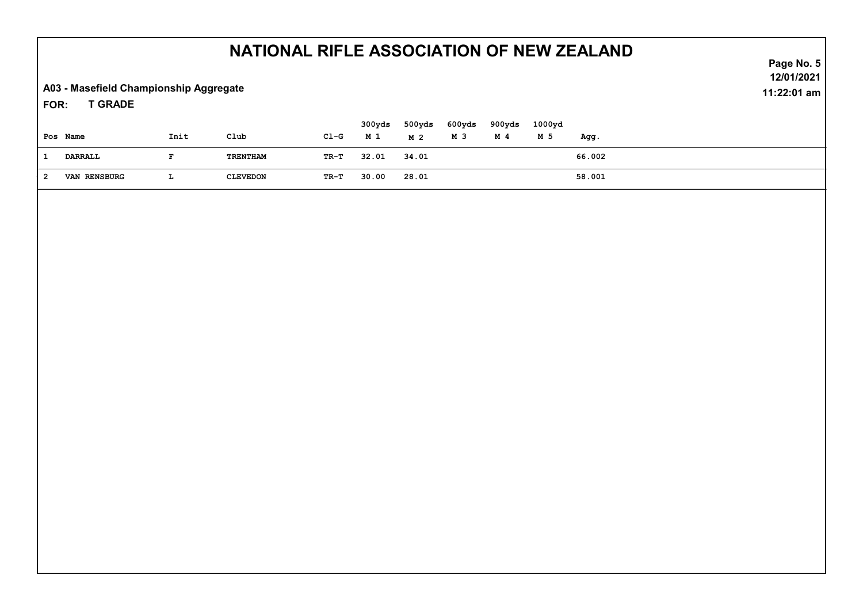A03 - Masefield Championship Aggregate

T GRADE FOR:

| Pos Name            | Init | Club            | $C1-G$ | 300yds<br>M 1 | 500yds<br>M 2 | 600yds<br>M 3 | 900yds<br>M 4 | 1000yd<br>M 5 | Agg.   |
|---------------------|------|-----------------|--------|---------------|---------------|---------------|---------------|---------------|--------|
| DARRALL             |      | TRENTHAM        | TR-T   | 32.01         | 34.01         |               |               |               | 66.002 |
| <b>VAN RENSBURG</b> | щ.   | <b>CLEVEDON</b> | TR-T   | 30.00         | 28.01         |               |               |               | 58.001 |

Page No. 5 12/01/2021 11:22:01 am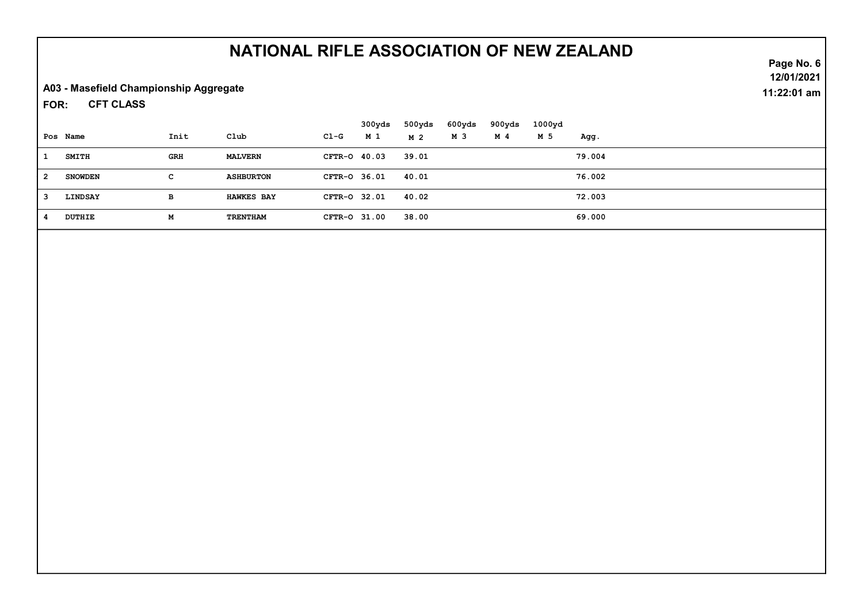A03 - Masefield Championship Aggregate

CFT CLASS FOR:

|              |                |      |                   |              | 300yds | 500yds | 600yds | 900yds | 1000yd |        |
|--------------|----------------|------|-------------------|--------------|--------|--------|--------|--------|--------|--------|
|              | Pos Name       | Init | Club              | $C1-G$       | M 1    | M 2    | M 3    | M 4    | M 5    | Agg.   |
| -1           | <b>SMITH</b>   | GRH  | <b>MALVERN</b>    | CFTR-0 40.03 |        | 39.01  |        |        |        | 79.004 |
| - 2          | <b>SNOWDEN</b> | C.   | <b>ASHBURTON</b>  | CFTR-0 36.01 |        | 40.01  |        |        |        | 76.002 |
| $\mathbf{3}$ | LINDSAY        | в    | <b>HAWKES BAY</b> | CFTR-0 32.01 |        | 40.02  |        |        |        | 72.003 |
| -4           | <b>DUTHIE</b>  | М    | TRENTHAM          | CFTR-0 31.00 |        | 38.00  |        |        |        | 69.000 |

Page No. 6 12/01/2021 11:22:01 am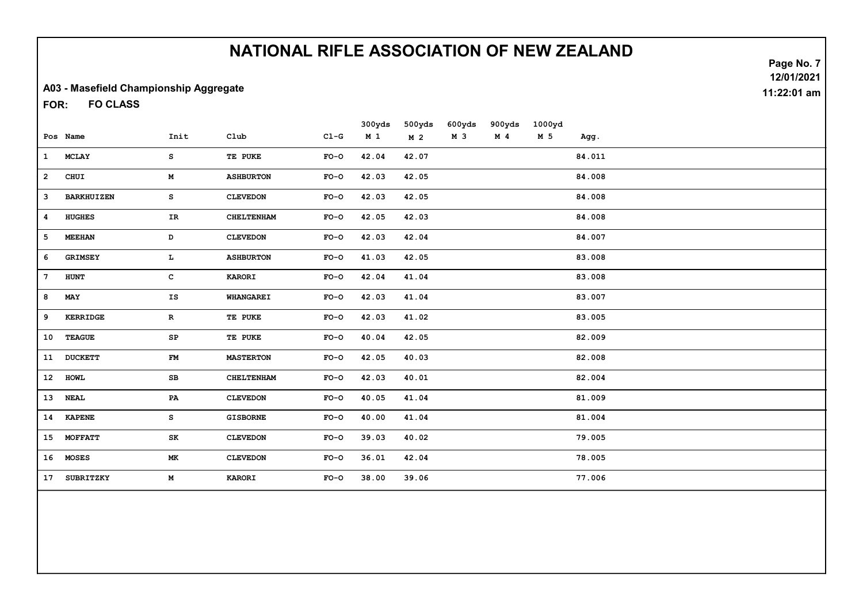#### A03 - Masefield Championship Aggregate

FO CLASS FOR:

|                 |                   |             |                   |        | 300yds         | 500yds         | 600yds | 900yds         | 1000yd |        |
|-----------------|-------------------|-------------|-------------------|--------|----------------|----------------|--------|----------------|--------|--------|
|                 | Pos Name          | Init        | Club              | $C1-G$ | M <sub>1</sub> | M <sub>2</sub> | M 3    | M <sub>4</sub> | M 5    | Agg.   |
| $\mathbf{1}$    | <b>MCLAY</b>      | s           | TE PUKE           | $FO-O$ | 42.04          | 42.07          |        |                |        | 84.011 |
| $\mathbf{2}$    | CHUI              | М           | <b>ASHBURTON</b>  | $FO-O$ | 42.03          | 42.05          |        |                |        | 84.008 |
| 3               | <b>BARKHUIZEN</b> | s           | <b>CLEVEDON</b>   | $FO-O$ | 42.03          | 42.05          |        |                |        | 84.008 |
| 4               | <b>HUGHES</b>     | IR          | <b>CHELTENHAM</b> | $FO-O$ | 42.05          | 42.03          |        |                |        | 84.008 |
| 5               | <b>MEEHAN</b>     | D           | <b>CLEVEDON</b>   | $FO-O$ | 42.03          | 42.04          |        |                |        | 84.007 |
| 6               | <b>GRIMSEY</b>    | т.          | <b>ASHBURTON</b>  | $FO-O$ | 41.03          | 42.05          |        |                |        | 83.008 |
| $7\phantom{.0}$ | <b>HUNT</b>       | с           | <b>KARORI</b>     | $FO-O$ | 42.04          | 41.04          |        |                |        | 83.008 |
| 8               | MAY               | IS          | <b>WHANGAREI</b>  | $FO-O$ | 42.03          | 41.04          |        |                |        | 83.007 |
| 9               | <b>KERRIDGE</b>   | $\mathbf R$ | TE PUKE           | $FO-O$ | 42.03          | 41.02          |        |                |        | 83.005 |
| 10              | <b>TEAGUE</b>     | SP          | TE PUKE           | $FO-O$ | 40.04          | 42.05          |        |                |        | 82.009 |
| 11              | <b>DUCKETT</b>    | FM          | <b>MASTERTON</b>  | $FO-O$ | 42.05          | 40.03          |        |                |        | 82.008 |
|                 | 12 HOWL           | SB          | <b>CHELTENHAM</b> | $FO-O$ | 42.03          | 40.01          |        |                |        | 82.004 |
|                 | 13 NEAL           | PA          | <b>CLEVEDON</b>   | $FO-O$ | 40.05          | 41.04          |        |                |        | 81.009 |
|                 | 14 KAPENE         | s           | <b>GISBORNE</b>   | $FO-O$ | 40.00          | 41.04          |        |                |        | 81.004 |
|                 | 15 MOFFATT        | SK          | <b>CLEVEDON</b>   | $FO-O$ | 39.03          | 40.02          |        |                |        | 79.005 |
|                 | 16 MOSES          | МK          | <b>CLEVEDON</b>   | $FO-O$ | 36.01          | 42.04          |        |                |        | 78.005 |
| 17              | SUBRITZKY         | М           | <b>KARORI</b>     | $FO-O$ | 38.00          | 39.06          |        |                |        | 77.006 |
|                 |                   |             |                   |        |                |                |        |                |        |        |

Page No. 7 12/01/2021 11:22:01 am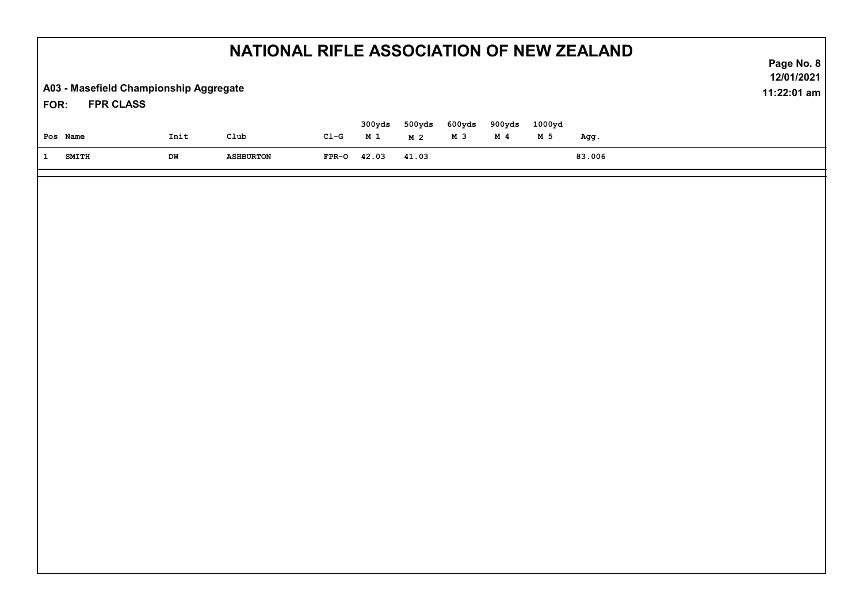|                                                                    | Page No. 8 |                  |         |                 |                          |                          |                 |               |        |                           |
|--------------------------------------------------------------------|------------|------------------|---------|-----------------|--------------------------|--------------------------|-----------------|---------------|--------|---------------------------|
| A03 - Masefield Championship Aggregate<br><b>FPR CLASS</b><br>FOR: |            |                  |         |                 |                          |                          |                 |               |        | 12/01/2021<br>11:22:01 am |
| Pos Name                                                           | Init       | $\mathtt{Club}$  | $CL-G$  | 300yds<br>$M_1$ | 500yds<br>M <sub>2</sub> | 600yds<br>M <sub>3</sub> | 900yds<br>$M$ 4 | 1000yd<br>M 5 | Agg.   |                           |
| $\mathbf{1}$<br><b>SMITH</b>                                       | DW         | <b>ASHBURTON</b> | $FPR-O$ | 42.03           | 41.03                    |                          |                 |               | 83.006 |                           |
|                                                                    |            |                  |         |                 |                          |                          |                 |               |        |                           |
|                                                                    |            |                  |         |                 |                          |                          |                 |               |        |                           |
|                                                                    |            |                  |         |                 |                          |                          |                 |               |        |                           |
|                                                                    |            |                  |         |                 |                          |                          |                 |               |        |                           |
|                                                                    |            |                  |         |                 |                          |                          |                 |               |        |                           |
|                                                                    |            |                  |         |                 |                          |                          |                 |               |        |                           |
|                                                                    |            |                  |         |                 |                          |                          |                 |               |        |                           |
|                                                                    |            |                  |         |                 |                          |                          |                 |               |        |                           |
|                                                                    |            |                  |         |                 |                          |                          |                 |               |        |                           |
|                                                                    |            |                  |         |                 |                          |                          |                 |               |        |                           |
|                                                                    |            |                  |         |                 |                          |                          |                 |               |        |                           |
|                                                                    |            |                  |         |                 |                          |                          |                 |               |        |                           |
|                                                                    |            |                  |         |                 |                          |                          |                 |               |        |                           |
|                                                                    |            |                  |         |                 |                          |                          |                 |               |        |                           |
|                                                                    |            |                  |         |                 |                          |                          |                 |               |        |                           |
|                                                                    |            |                  |         |                 |                          |                          |                 |               |        |                           |
|                                                                    |            |                  |         |                 |                          |                          |                 |               |        |                           |